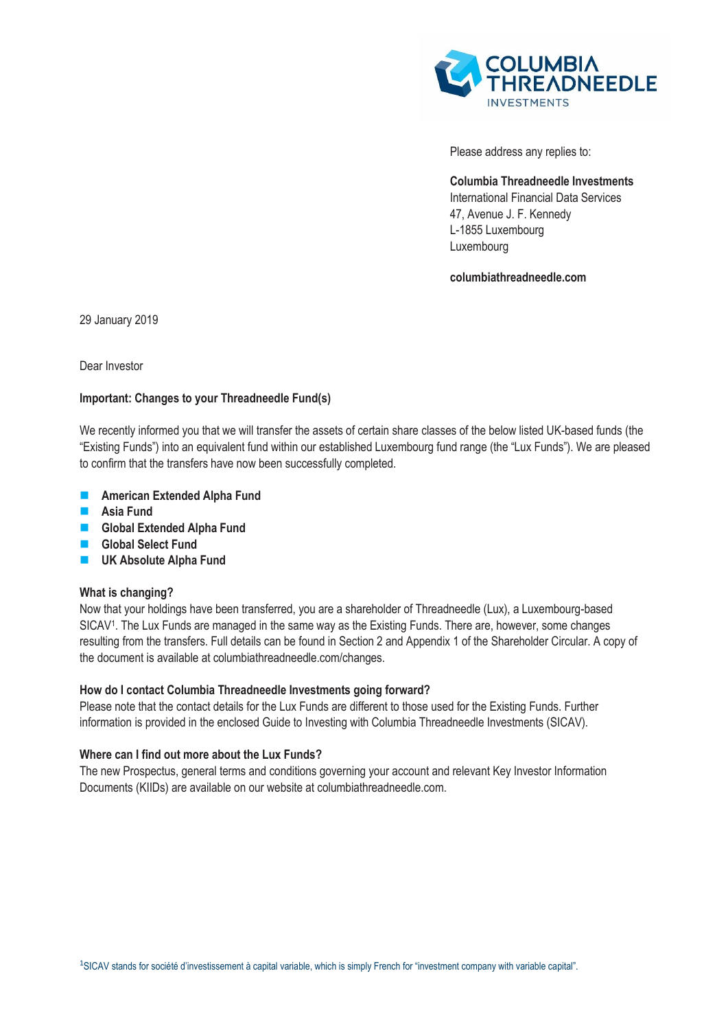

Please address any replies to:

**Columbia Threadneedle Investments**  International Financial Data Services 47, Avenue J. F. Kennedy L-1855 Luxembourg Luxembourg

**columbiathreadneedle.com**

29 January 2019

Dear Investor

# **Important: Changes to your Threadneedle Fund(s)**

We recently informed you that we will transfer the assets of certain share classes of the below listed UK-based funds (the "Existing Funds") into an equivalent fund within our established Luxembourg fund range (the "Lux Funds"). We are pleased to confirm that the transfers have now been successfully completed.

- **American Extended Alpha Fund**
- **Asia Fund**
- **Global Extended Alpha Fund**
- **Global Select Fund**
- **L** UK Absolute Alpha Fund

# **What is changing?**

Now that your holdings have been transferred, you are a shareholder of Threadneedle (Lux), a Luxembourg-based SICAV<sup>1</sup> . The Lux Funds are managed in the same way as the Existing Funds. There are, however, some changes resulting from the transfers. Full details can be found in Section 2 and Appendix 1 of the Shareholder Circular. A copy of the document is available at columbiathreadneedle.com/changes.

# **How do I contact Columbia Threadneedle Investments going forward?**

Please note that the contact details for the Lux Funds are different to those used for the Existing Funds. Further information is provided in the enclosed Guide to Investing with Columbia Threadneedle Investments (SICAV).

# **Where can I find out more about the Lux Funds?**

The new Prospectus, general terms and conditions governing your account and relevant Key Investor Information Documents (KIIDs) are available on our website at columbiathreadneedle.com.